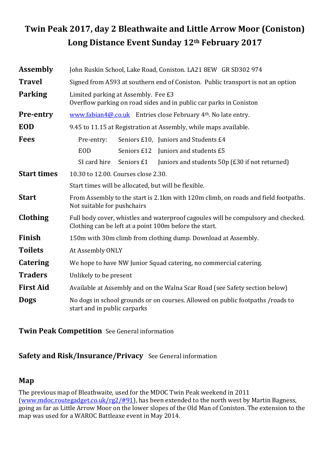# Twin Peak 2017, day 2 Bleathwaite and Little Arrow Moor (Coniston) Long Distance Event Sunday 12th February 2017

| <b>Assembly</b>    | John Ruskin School, Lake Road, Coniston. LA21 8EW GR SD302 974                                                                              |             |                                                |  |  |  |  |  |
|--------------------|---------------------------------------------------------------------------------------------------------------------------------------------|-------------|------------------------------------------------|--|--|--|--|--|
| <b>Travel</b>      | Signed from A593 at southern end of Coniston. Public transport is not an option                                                             |             |                                                |  |  |  |  |  |
| <b>Parking</b>     | Limited parking at Assembly. Fee £3<br>Overflow parking on road sides and in public car parks in Coniston                                   |             |                                                |  |  |  |  |  |
| <b>Pre-entry</b>   | www.fabian4@.co.uk Entries close February 4 <sup>th</sup> . No late entry.                                                                  |             |                                                |  |  |  |  |  |
| <b>EOD</b>         | 9.45 to 11.15 at Registration at Assembly, while maps available.                                                                            |             |                                                |  |  |  |  |  |
| <b>Fees</b>        | Pre-entry:                                                                                                                                  |             | Seniors £10, Juniors and Students £4           |  |  |  |  |  |
|                    | <b>EOD</b>                                                                                                                                  | Seniors £12 | Juniors and students £5                        |  |  |  |  |  |
|                    | SI card hire                                                                                                                                | Seniors £1  | Juniors and students 50p (£30 if not returned) |  |  |  |  |  |
| <b>Start times</b> | 10.30 to 12.00. Courses close 2.30.                                                                                                         |             |                                                |  |  |  |  |  |
|                    | Start times will be allocated, but will be flexible.                                                                                        |             |                                                |  |  |  |  |  |
| <b>Start</b>       | From Assembly to the start is 2.1km with 120m climb, on roads and field footpaths.<br>Not suitable for pushchairs                           |             |                                                |  |  |  |  |  |
| Clothing           | Full body cover, whistles and waterproof cagoules will be compulsory and checked.<br>Clothing can be left at a point 100m before the start. |             |                                                |  |  |  |  |  |
| <b>Finish</b>      | 150m with 30m climb from clothing dump. Download at Assembly.                                                                               |             |                                                |  |  |  |  |  |
| <b>Toilets</b>     | At Assembly ONLY                                                                                                                            |             |                                                |  |  |  |  |  |
| <b>Catering</b>    | We hope to have NW Junior Squad catering, no commercial catering.                                                                           |             |                                                |  |  |  |  |  |
| <b>Traders</b>     | Unlikely to be present                                                                                                                      |             |                                                |  |  |  |  |  |
| <b>First Aid</b>   | Available at Assembly and on the Walna Scar Road (see Safety section below)                                                                 |             |                                                |  |  |  |  |  |
| <b>Dogs</b>        | No dogs in school grounds or on courses. Allowed on public footpaths /roads to<br>start and in public carparks                              |             |                                                |  |  |  |  |  |

Twin Peak Competition See General information

## Safety and Risk/Insurance/Privacy See General information

### Map

The previous map of Bleathwaite, used for the MDOC Twin Peak weekend in 2011 (www.mdoc.routegadget.co.uk/rg2/#91), has been extended to the north west by Martin Bagness, going as far as Little Arrow Moor on the lower slopes of the Old Man of Coniston. The extension to the map was used for a WAROC Battleaxe event in May 2014.